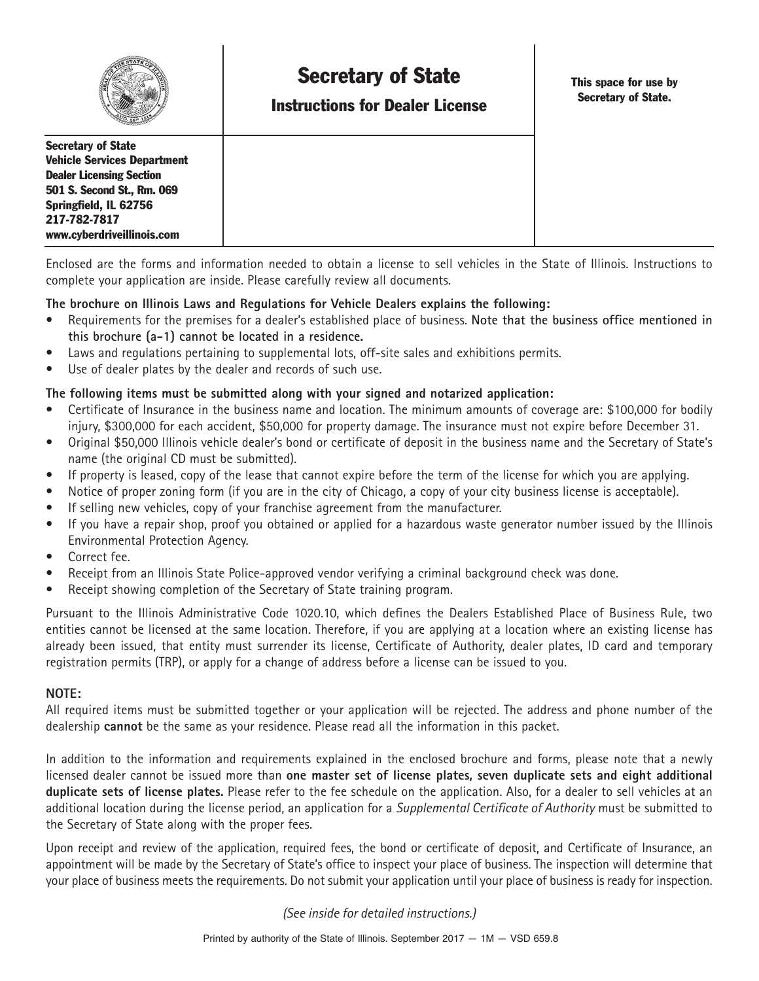

# **Secretary of State**

**Instructions for Dealer License**

**This space for use by Secretary of State.**

**Secretary of State Vehicle Services Department Dealer Licensing Section 501 S. Second St., Rm. 069 Springfield, IL 62756 217-782-7817 www.cyberdriveillinois.com**

Enclosed are the forms and information needed to obtain a license to sell vehicles in the State of Illinois. Instructions to complete your application are inside. Please carefully review all documents.

#### **The brochure on Illinois Laws and Regulations for Vehicle Dealers explains the following:**

- Requirements for the premises for a dealer's established place of business. **Note that the business office mentioned in this brochure (a-1) cannot be located in a residence.**
- Laws and regulations pertaining to supplemental lots, off-site sales and exhibitions permits.
- Use of dealer plates by the dealer and records of such use.

#### **The following items must be submitted along with your signed and notarized application:**

- Certificate of Insurance in the business name and location. The minimum amounts of coverage are: \$100,000 for bodily injury, \$300,000 for each accident, \$50,000 for property damage. The insurance must not expire before December 31.
- Original \$50,000 Illinois vehicle dealer's bond or certificate of deposit in the business name and the Secretary of State's name (the original CD must be submitted).
- If property is leased, copy of the lease that cannot expire before the term of the license for which you are applying.
- Notice of proper zoning form (if you are in the city of Chicago, a copy of your city business license is acceptable).
- If selling new vehicles, copy of your franchise agreement from the manufacturer.
- If you have a repair shop, proof you obtained or applied for a hazardous waste generator number issued by the Illinois Environmental Protection Agency.
- Correct fee.
- Receipt from an Illinois State Police-approved vendor verifying a criminal background check was done.
- Receipt showing completion of the Secretary of State training program.

Pursuant to the Illinois Administrative Code 1020.10, which defines the Dealers Established Place of Business Rule, two entities cannot be licensed at the same location. Therefore, if you are applying at a location where an existing license has already been issued, that entity must surrender its license, Certificate of Authority, dealer plates, ID card and temporary registration permits (TRP), or apply for a change of address before a license can be issued to you.

#### **NOTE:**

All required items must be submitted together or your application will be rejected. The address and phone number of the dealership **cannot** be the same as your residence. Please read all the information in this packet.

In addition to the information and requirements explained in the enclosed brochure and forms, please note that a newly licensed dealer cannot be issued more than **one master set of license plates, seven duplicate sets and eight additional duplicate sets of license plates.** Please refer to the fee schedule on the application. Also, for a dealer to sell vehicles at an additional location during the license period, an application for a *Supplemental Certificate of Authority* must be submitted to the Secretary of State along with the proper fees.

Upon receipt and review of the application, required fees, the bond or certificate of deposit, and Certificate of Insurance, an appointment will be made by the Secretary of State's office to inspect your place of business. The inspection will determine that your place of business meets the requirements. Do not submit your application until your place of business is ready for inspection.

*(See inside for detailed instructions.)*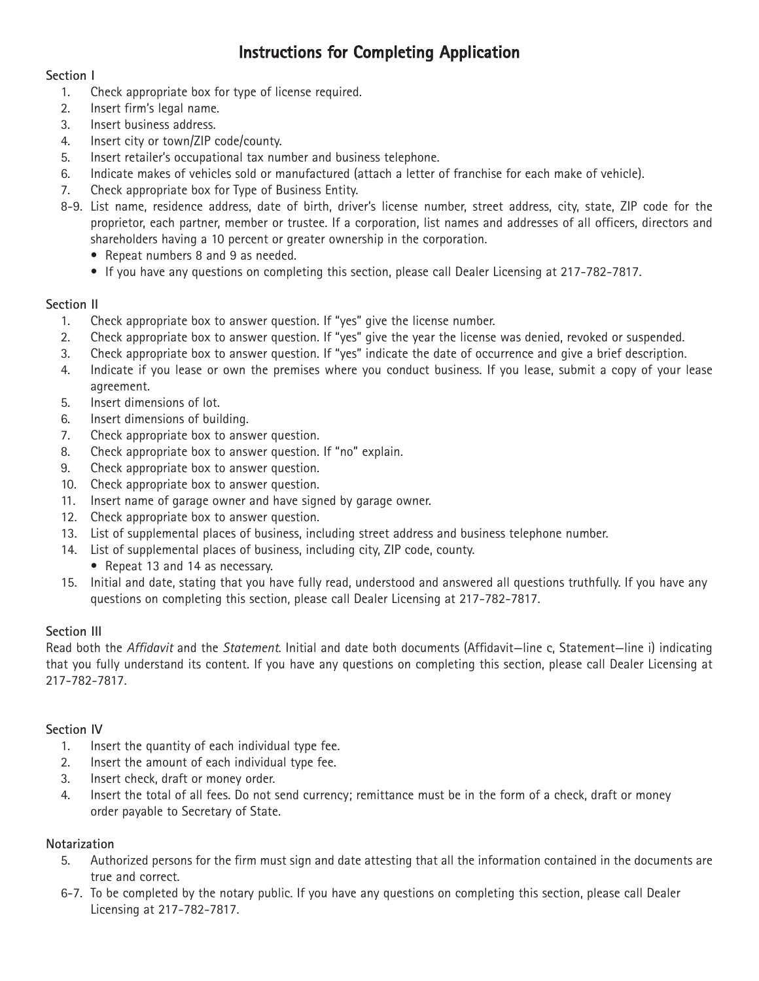# **Instructions for Completing Application**

#### **Section I**

- 1. Check appropriate box for type of license required.
- 2. Insert firm's legal name.
- 3. Insert business address.
- 4. Insert city or town/ZIP code/county.
- 5. Insert retailer's occupational tax number and business telephone.
- 6. Indicate makes of vehicles sold or manufactured (attach a letter of franchise for each make of vehicle).
- 7. Check appropriate box for Type of Business Entity.
- 8-9. List name, residence address, date of birth, driver's license number, street address, city, state, ZIP code for the proprietor, each partner, member or trustee. If a corporation, list names and addresses of all officers, directors and shareholders having a 10 percent or greater ownership in the corporation.
	- Repeat numbers 8 and 9 as needed.
	- If you have any questions on completing this section, please call Dealer Licensing at 217-782-7817.

#### **Section II**

- 1. Check appropriate box to answer question. If "yes" give the license number.
- 2. Check appropriate box to answer question. If "yes" give the year the license was denied, revoked or suspended.
- 3. Check appropriate box to answer question. If "yes" indicate the date of occurrence and give a brief description.
- 4. Indicate if you lease or own the premises where you conduct business. If you lease, submit a copy of your lease agreement.
- 5. Insert dimensions of lot.
- 6. Insert dimensions of building.
- 7. Check appropriate box to answer question.
- 8. Check appropriate box to answer question. If "no" explain.
- 9. Check appropriate box to answer question.
- 10. Check appropriate box to answer question.
- 11. Insert name of garage owner and have signed by garage owner.
- 12. Check appropriate box to answer question.
- 13. List of supplemental places of business, including street address and business telephone number.
- 14. List of supplemental places of business, including city, ZIP code, county.
	- Repeat 13 and 14 as necessary.
- 15. Initial and date, stating that you have fully read, understood and answered all questions truthfully. If you have any questions on completing this section, please call Dealer Licensing at 217-782-7817.

# **Section III**

Read both the *Affidavit* and the *Statement*. Initial and date both documents (Affidavit—line c, Statement—line i) indicating that you fully understand its content. If you have any questions on completing this section, please call Dealer Licensing at 217-782-7817.

# **Section IV**

- 1. Insert the quantity of each individual type fee.
- 2. Insert the amount of each individual type fee.
- 3. Insert check, draft or money order.
- 4. Insert the total of all fees. Do not send currency; remittance must be in the form of a check, draft or money order payable to Secretary of State.

# **Notarization**

- 5. Authorized persons for the firm must sign and date attesting that all the information contained in the documents are true and correct.
- 6-7. To be completed by the notary public. If you have any questions on completing this section, please call Dealer Licensing at 217-782-7817.